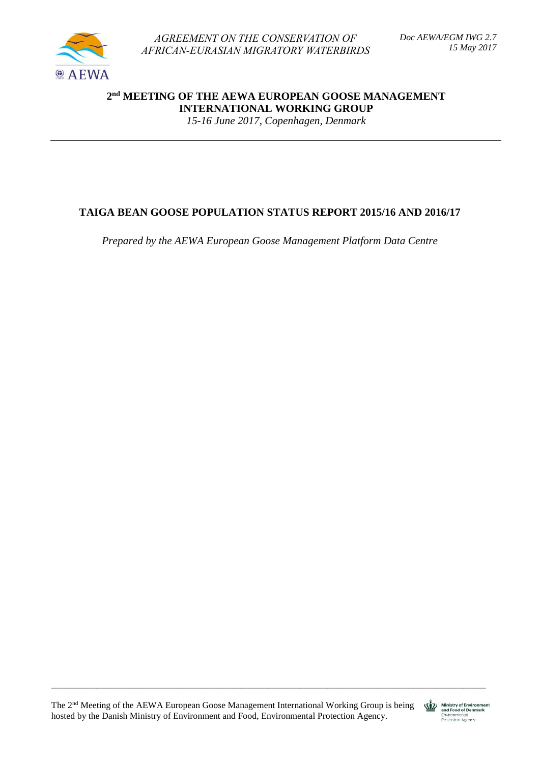

*AGREEMENT ON THE CONSERVATION OF AFRICAN-EURASIAN MIGRATORY WATERBIRDS* 

**2 nd MEETING OF THE AEWA EUROPEAN GOOSE MANAGEMENT INTERNATIONAL WORKING GROUP**

*15-16 June 2017, Copenhagen, Denmark*

# **TAIGA BEAN GOOSE POPULATION STATUS REPORT 2015/16 AND 2016/17**

*Prepared by the AEWA European Goose Management Platform Data Centre*

The 2nd Meeting of the AEWA European Goose Management International Working Group is being hosted by the Danish Ministry of Environment and Food, Environmental Protection Agency.

\_\_\_\_\_\_\_\_\_\_\_\_\_\_\_\_\_\_\_\_\_\_\_\_\_\_\_\_\_\_\_\_\_\_\_\_\_\_\_\_\_\_\_\_\_\_\_\_\_\_\_\_\_\_\_\_\_\_\_\_\_\_\_\_\_\_\_\_\_\_\_\_\_\_\_\_\_\_\_\_\_\_\_\_\_\_\_\_\_\_\_\_\_\_\_\_

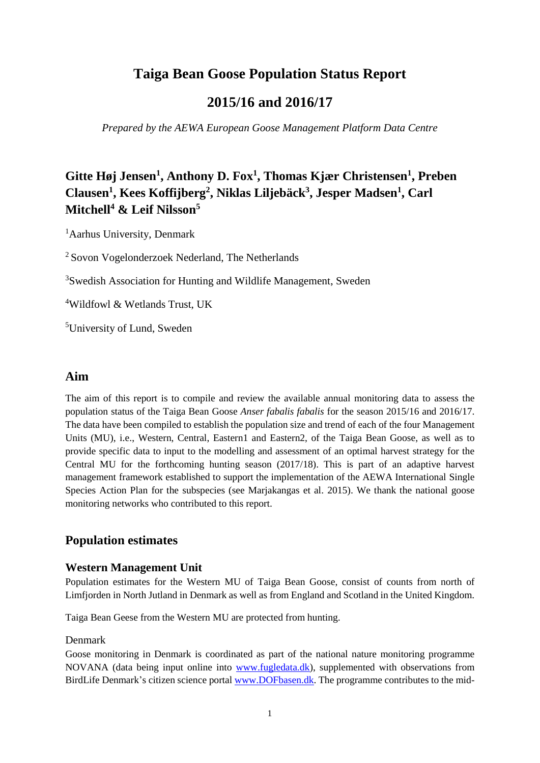# **Taiga Bean Goose Population Status Report**

# **2015/16 and 2016/17**

*Prepared by the AEWA European Goose Management Platform Data Centre*

# **Gitte Høj Jensen<sup>1</sup> , Anthony D. Fox<sup>1</sup> , Thomas Kjær Christensen<sup>1</sup> , Preben Clausen<sup>1</sup> , Kees Koffijberg<sup>2</sup> , Niklas Liljebäck<sup>3</sup> , Jesper Madsen<sup>1</sup> , Carl Mitchell<sup>4</sup> & Leif Nilsson<sup>5</sup>**

<sup>1</sup>Aarhus University, Denmark

<sup>2</sup> Sovon Vogelonderzoek Nederland, The Netherlands

<sup>3</sup>Swedish Association for Hunting and Wildlife Management, Sweden

<sup>4</sup>Wildfowl & Wetlands Trust, UK

<sup>5</sup>University of Lund, Sweden

## **Aim**

The aim of this report is to compile and review the available annual monitoring data to assess the population status of the Taiga Bean Goose *Anser fabalis fabalis* for the season 2015/16 and 2016/17. The data have been compiled to establish the population size and trend of each of the four Management Units (MU), i.e., Western, Central, Eastern1 and Eastern2, of the Taiga Bean Goose, as well as to provide specific data to input to the modelling and assessment of an optimal harvest strategy for the Central MU for the forthcoming hunting season (2017/18). This is part of an adaptive harvest management framework established to support the implementation of the AEWA International Single Species Action Plan for the subspecies (see Marjakangas et al. 2015). We thank the national goose monitoring networks who contributed to this report.

# **Population estimates**

#### **Western Management Unit**

Population estimates for the Western MU of Taiga Bean Goose, consist of counts from north of Limfjorden in North Jutland in Denmark as well as from England and Scotland in the United Kingdom.

Taiga Bean Geese from the Western MU are protected from hunting.

#### Denmark

Goose monitoring in Denmark is coordinated as part of the national nature monitoring programme NOVANA (data being input online into [www.fugledata.dk\)](http://www.fugledata.dk/), supplemented with observations from BirdLife Denmark's citizen science porta[l www.DOFbasen.dk.](http://www.dofbasen.dk/) The programme contributes to the mid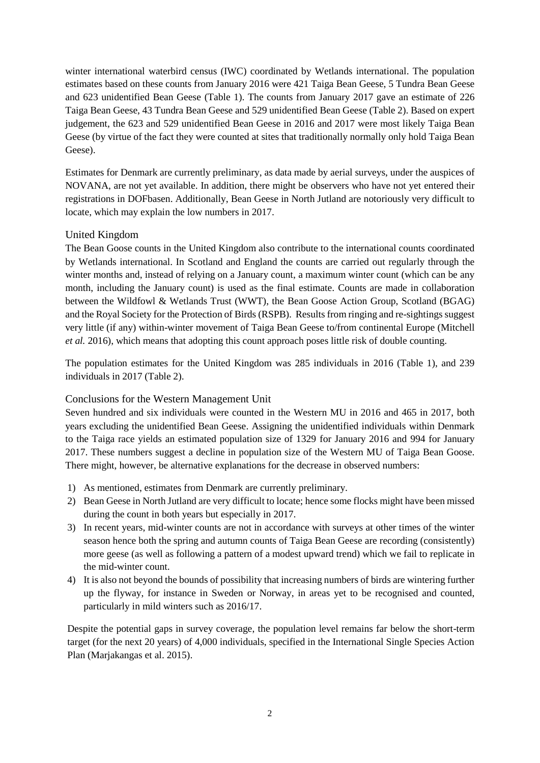winter international waterbird census (IWC) coordinated by Wetlands international. The population estimates based on these counts from January 2016 were 421 Taiga Bean Geese, 5 Tundra Bean Geese and 623 unidentified Bean Geese (Table 1). The counts from January 2017 gave an estimate of 226 Taiga Bean Geese, 43 Tundra Bean Geese and 529 unidentified Bean Geese (Table 2). Based on expert judgement, the 623 and 529 unidentified Bean Geese in 2016 and 2017 were most likely Taiga Bean Geese (by virtue of the fact they were counted at sites that traditionally normally only hold Taiga Bean Geese).

Estimates for Denmark are currently preliminary, as data made by aerial surveys, under the auspices of NOVANA, are not yet available. In addition, there might be observers who have not yet entered their registrations in DOFbasen. Additionally, Bean Geese in North Jutland are notoriously very difficult to locate, which may explain the low numbers in 2017.

#### United Kingdom

The Bean Goose counts in the United Kingdom also contribute to the international counts coordinated by Wetlands international. In Scotland and England the counts are carried out regularly through the winter months and, instead of relying on a January count, a maximum winter count (which can be any month, including the January count) is used as the final estimate. Counts are made in collaboration between the Wildfowl & Wetlands Trust (WWT), the Bean Goose Action Group, Scotland (BGAG) and the Royal Society for the Protection of Birds (RSPB). Results from ringing and re-sightings suggest very little (if any) within-winter movement of Taiga Bean Geese to/from continental Europe (Mitchell *et al.* 2016), which means that adopting this count approach poses little risk of double counting.

The population estimates for the United Kingdom was 285 individuals in 2016 (Table 1), and 239 individuals in 2017 (Table 2).

#### Conclusions for the Western Management Unit

Seven hundred and six individuals were counted in the Western MU in 2016 and 465 in 2017, both years excluding the unidentified Bean Geese. Assigning the unidentified individuals within Denmark to the Taiga race yields an estimated population size of 1329 for January 2016 and 994 for January 2017. These numbers suggest a decline in population size of the Western MU of Taiga Bean Goose. There might, however, be alternative explanations for the decrease in observed numbers:

- 1) As mentioned, estimates from Denmark are currently preliminary.
- 2) Bean Geese in North Jutland are very difficult to locate; hence some flocks might have been missed during the count in both years but especially in 2017.
- 3) In recent years, mid-winter counts are not in accordance with surveys at other times of the winter season hence both the spring and autumn counts of Taiga Bean Geese are recording (consistently) more geese (as well as following a pattern of a modest upward trend) which we fail to replicate in the mid-winter count.
- 4) It is also not beyond the bounds of possibility that increasing numbers of birds are wintering further up the flyway, for instance in Sweden or Norway, in areas yet to be recognised and counted, particularly in mild winters such as 2016/17.

Despite the potential gaps in survey coverage, the population level remains far below the short-term target (for the next 20 years) of 4,000 individuals, specified in the International Single Species Action Plan (Marjakangas et al. 2015).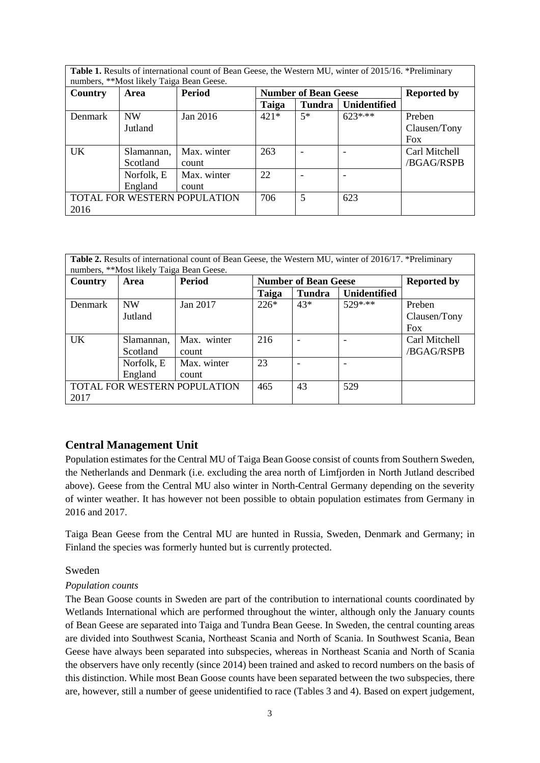| Table 1. Results of international count of Bean Geese, the Western MU, winter of 2015/16. *Preliminary |            |               |                             |        |                     |                    |
|--------------------------------------------------------------------------------------------------------|------------|---------------|-----------------------------|--------|---------------------|--------------------|
| numbers, **Most likely Taiga Bean Geese.                                                               |            |               |                             |        |                     |                    |
| <b>Country</b>                                                                                         | Area       | <b>Period</b> | <b>Number of Bean Geese</b> |        |                     | <b>Reported by</b> |
|                                                                                                        |            |               | Taiga                       | Tundra | <b>Unidentified</b> |                    |
| <b>Denmark</b>                                                                                         | <b>NW</b>  | Jan 2016      | $421*$                      | $5*$   | $623***$            | Preben             |
|                                                                                                        | Jutland    |               |                             |        |                     | Clausen/Tony       |
|                                                                                                        |            |               |                             |        |                     | <b>Fox</b>         |
| <b>UK</b>                                                                                              | Slamannan, | Max. winter   | 263                         |        |                     | Carl Mitchell      |
|                                                                                                        | Scotland   | count         |                             |        |                     | /BGAG/RSPB         |
|                                                                                                        | Norfolk, E | Max. winter   | 22                          |        |                     |                    |
|                                                                                                        | England    | count         |                             |        |                     |                    |
| TOTAL FOR WESTERN POPULATION                                                                           |            |               | 706                         | 5      | 623                 |                    |
| 2016                                                                                                   |            |               |                             |        |                     |                    |

| <b>Table 2.</b> Results of international count of Bean Geese, the Western MU, winter of 2016/17. *Preliminary<br>numbers, **Most likely Taiga Bean Geese. |             |               |                             |        |                     |                    |
|-----------------------------------------------------------------------------------------------------------------------------------------------------------|-------------|---------------|-----------------------------|--------|---------------------|--------------------|
| Country                                                                                                                                                   | <b>Area</b> | <b>Period</b> | <b>Number of Bean Geese</b> |        |                     | <b>Reported by</b> |
|                                                                                                                                                           |             |               | Taiga                       | Tundra | <b>Unidentified</b> |                    |
| <b>Denmark</b>                                                                                                                                            | <b>NW</b>   | Jan 2017      | $226*$                      | 43*    | $529***$            | Preben             |
|                                                                                                                                                           | Jutland     |               |                             |        |                     | Clausen/Tony       |
|                                                                                                                                                           |             |               |                             |        |                     | <b>Fox</b>         |
| <b>UK</b>                                                                                                                                                 | Slamannan,  | Max. winter   | 216                         |        |                     | Carl Mitchell      |
|                                                                                                                                                           | Scotland    | count         |                             |        |                     | /BGAG/RSPB         |
|                                                                                                                                                           | Norfolk, E  | Max. winter   | 23                          |        |                     |                    |
|                                                                                                                                                           | England     | count         |                             |        |                     |                    |
| TOTAL FOR WESTERN POPULATION                                                                                                                              |             |               | 465                         | 43     | 529                 |                    |
| 2017                                                                                                                                                      |             |               |                             |        |                     |                    |

#### **Central Management Unit**

Population estimates for the Central MU of Taiga Bean Goose consist of counts from Southern Sweden, the Netherlands and Denmark (i.e. excluding the area north of Limfjorden in North Jutland described above). Geese from the Central MU also winter in North-Central Germany depending on the severity of winter weather. It has however not been possible to obtain population estimates from Germany in 2016 and 2017.

Taiga Bean Geese from the Central MU are hunted in Russia, Sweden, Denmark and Germany; in Finland the species was formerly hunted but is currently protected.

#### Sweden

#### *Population counts*

The Bean Goose counts in Sweden are part of the contribution to international counts coordinated by Wetlands International which are performed throughout the winter, although only the January counts of Bean Geese are separated into Taiga and Tundra Bean Geese. In Sweden, the central counting areas are divided into Southwest Scania, Northeast Scania and North of Scania. In Southwest Scania, Bean Geese have always been separated into subspecies, whereas in Northeast Scania and North of Scania the observers have only recently (since 2014) been trained and asked to record numbers on the basis of this distinction. While most Bean Goose counts have been separated between the two subspecies, there are, however, still a number of geese unidentified to race (Tables 3 and 4). Based on expert judgement,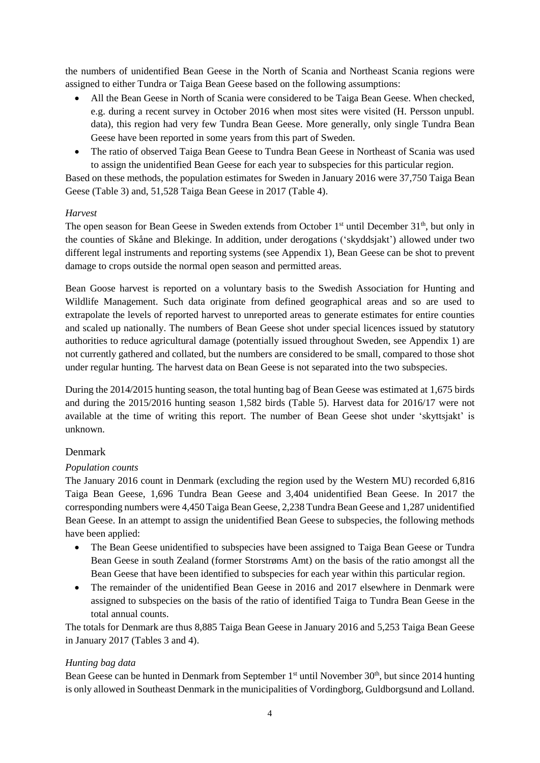the numbers of unidentified Bean Geese in the North of Scania and Northeast Scania regions were assigned to either Tundra or Taiga Bean Geese based on the following assumptions:

- All the Bean Geese in North of Scania were considered to be Taiga Bean Geese. When checked, e.g. during a recent survey in October 2016 when most sites were visited (H. Persson unpubl. data), this region had very few Tundra Bean Geese. More generally, only single Tundra Bean Geese have been reported in some years from this part of Sweden.
- The ratio of observed Taiga Bean Geese to Tundra Bean Geese in Northeast of Scania was used to assign the unidentified Bean Geese for each year to subspecies for this particular region.

Based on these methods, the population estimates for Sweden in January 2016 were 37,750 Taiga Bean Geese (Table 3) and, 51,528 Taiga Bean Geese in 2017 (Table 4).

#### *Harvest*

The open season for Bean Geese in Sweden extends from October  $1<sup>st</sup>$  until December  $31<sup>th</sup>$ , but only in the counties of Skåne and Blekinge. In addition, under derogations ('skyddsjakt') allowed under two different legal instruments and reporting systems (see Appendix 1), Bean Geese can be shot to prevent damage to crops outside the normal open season and permitted areas.

Bean Goose harvest is reported on a voluntary basis to the Swedish Association for Hunting and Wildlife Management. Such data originate from defined geographical areas and so are used to extrapolate the levels of reported harvest to unreported areas to generate estimates for entire counties and scaled up nationally. The numbers of Bean Geese shot under special licences issued by statutory authorities to reduce agricultural damage (potentially issued throughout Sweden, see Appendix 1) are not currently gathered and collated, but the numbers are considered to be small, compared to those shot under regular hunting. The harvest data on Bean Geese is not separated into the two subspecies.

During the 2014/2015 hunting season, the total hunting bag of Bean Geese was estimated at 1,675 birds and during the 2015/2016 hunting season 1,582 birds (Table 5). Harvest data for 2016/17 were not available at the time of writing this report. The number of Bean Geese shot under 'skyttsjakt' is unknown.

## Denmark

#### *Population counts*

The January 2016 count in Denmark (excluding the region used by the Western MU) recorded 6,816 Taiga Bean Geese, 1,696 Tundra Bean Geese and 3,404 unidentified Bean Geese. In 2017 the corresponding numbers were 4,450 Taiga Bean Geese, 2,238 Tundra Bean Geese and 1,287 unidentified Bean Geese. In an attempt to assign the unidentified Bean Geese to subspecies, the following methods have been applied:

- The Bean Geese unidentified to subspecies have been assigned to Taiga Bean Geese or Tundra Bean Geese in south Zealand (former Storstrøms Amt) on the basis of the ratio amongst all the Bean Geese that have been identified to subspecies for each year within this particular region.
- The remainder of the unidentified Bean Geese in 2016 and 2017 elsewhere in Denmark were assigned to subspecies on the basis of the ratio of identified Taiga to Tundra Bean Geese in the total annual counts.

The totals for Denmark are thus 8,885 Taiga Bean Geese in January 2016 and 5,253 Taiga Bean Geese in January 2017 (Tables 3 and 4).

#### *Hunting bag data*

Bean Geese can be hunted in Denmark from September 1<sup>st</sup> until November 30<sup>th</sup>, but since 2014 hunting is only allowed in Southeast Denmark in the municipalities of Vordingborg, Guldborgsund and Lolland.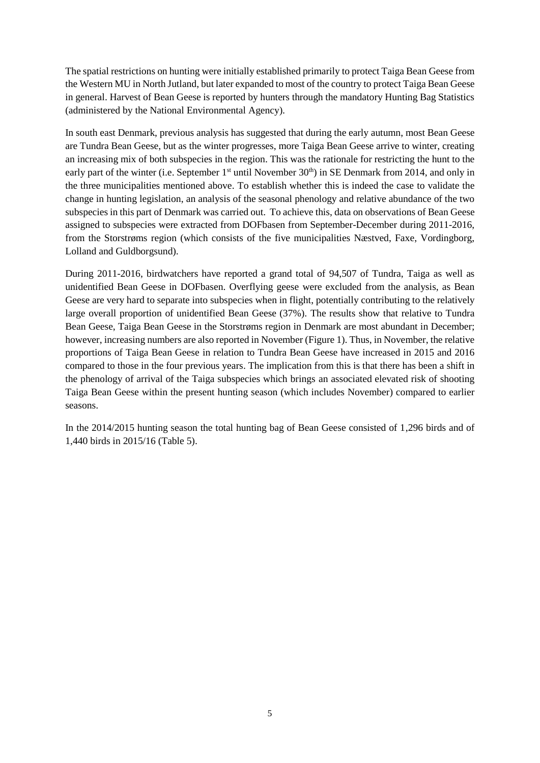The spatial restrictions on hunting were initially established primarily to protect Taiga Bean Geese from the Western MU in North Jutland, but later expanded to most of the country to protect Taiga Bean Geese in general. Harvest of Bean Geese is reported by hunters through the mandatory Hunting Bag Statistics (administered by the National Environmental Agency).

In south east Denmark, previous analysis has suggested that during the early autumn, most Bean Geese are Tundra Bean Geese, but as the winter progresses, more Taiga Bean Geese arrive to winter, creating an increasing mix of both subspecies in the region. This was the rationale for restricting the hunt to the early part of the winter (i.e. September  $1<sup>st</sup>$  until November  $30<sup>th</sup>$ ) in SE Denmark from 2014, and only in the three municipalities mentioned above. To establish whether this is indeed the case to validate the change in hunting legislation, an analysis of the seasonal phenology and relative abundance of the two subspecies in this part of Denmark was carried out. To achieve this, data on observations of Bean Geese assigned to subspecies were extracted from DOFbasen from September-December during 2011-2016, from the Storstrøms region (which consists of the five municipalities Næstved, Faxe, Vordingborg, Lolland and Guldborgsund).

During 2011-2016, birdwatchers have reported a grand total of 94,507 of Tundra, Taiga as well as unidentified Bean Geese in DOFbasen. Overflying geese were excluded from the analysis, as Bean Geese are very hard to separate into subspecies when in flight, potentially contributing to the relatively large overall proportion of unidentified Bean Geese (37%). The results show that relative to Tundra Bean Geese, Taiga Bean Geese in the Storstrøms region in Denmark are most abundant in December; however, increasing numbers are also reported in November (Figure 1). Thus, in November, the relative proportions of Taiga Bean Geese in relation to Tundra Bean Geese have increased in 2015 and 2016 compared to those in the four previous years. The implication from this is that there has been a shift in the phenology of arrival of the Taiga subspecies which brings an associated elevated risk of shooting Taiga Bean Geese within the present hunting season (which includes November) compared to earlier seasons.

In the 2014/2015 hunting season the total hunting bag of Bean Geese consisted of 1,296 birds and of 1,440 birds in 2015/16 (Table 5).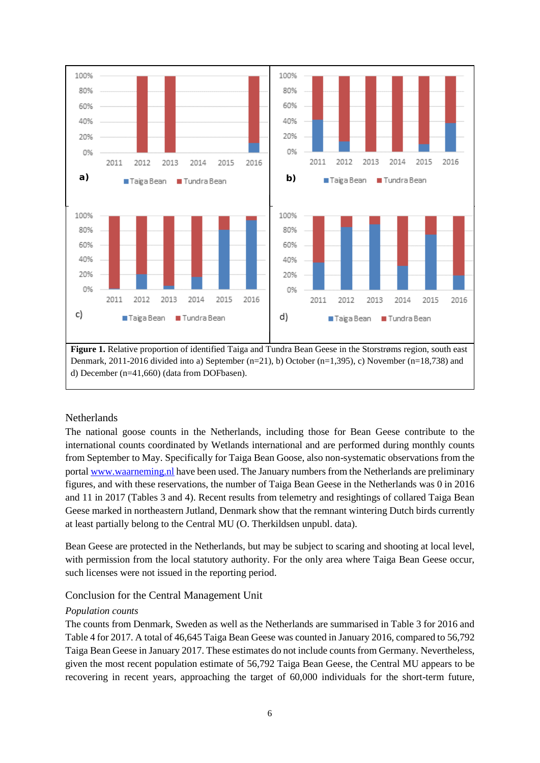

#### **Netherlands**

The national goose counts in the Netherlands, including those for Bean Geese contribute to the international counts coordinated by Wetlands international and are performed during monthly counts from September to May. Specifically for Taiga Bean Goose, also non-systematic observations from the portal [www.waarneming.nl](http://www.waarneming.nl/) have been used. The January numbers from the Netherlands are preliminary figures, and with these reservations, the number of Taiga Bean Geese in the Netherlands was 0 in 2016 and 11 in 2017 (Tables 3 and 4). Recent results from telemetry and resightings of collared Taiga Bean Geese marked in northeastern Jutland, Denmark show that the remnant wintering Dutch birds currently at least partially belong to the Central MU (O. Therkildsen unpubl. data).

Bean Geese are protected in the Netherlands, but may be subject to scaring and shooting at local level, with permission from the local statutory authority. For the only area where Taiga Bean Geese occur, such licenses were not issued in the reporting period.

#### Conclusion for the Central Management Unit

#### *Population counts*

The counts from Denmark, Sweden as well as the Netherlands are summarised in Table 3 for 2016 and Table 4 for 2017. A total of 46,645 Taiga Bean Geese was counted in January 2016, compared to 56,792 Taiga Bean Geese in January 2017. These estimates do not include counts from Germany. Nevertheless, given the most recent population estimate of 56,792 Taiga Bean Geese, the Central MU appears to be recovering in recent years, approaching the target of 60,000 individuals for the short-term future,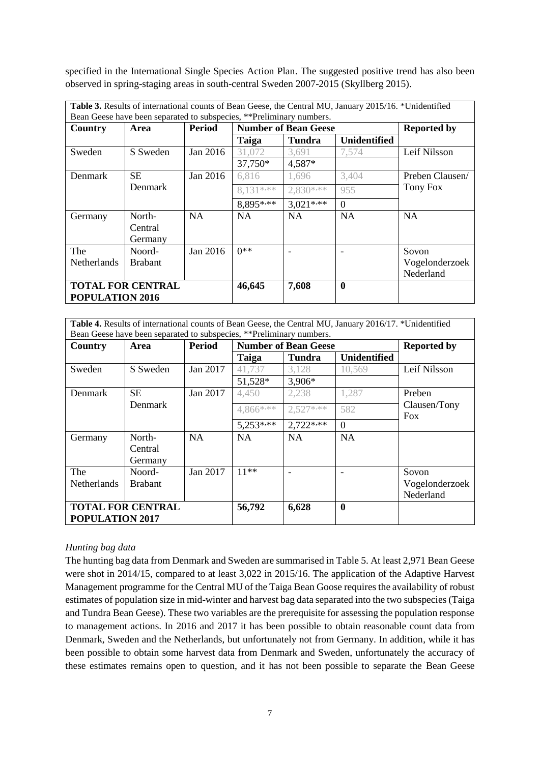specified in the International Single Species Action Plan. The suggested positive trend has also been observed in spring-staging areas in south-central Sweden 2007-2015 (Skyllberg 2015).

| Table 3. Results of international counts of Bean Geese, the Central MU, January 2015/16. *Unidentified<br>Bean Geese have been separated to subspecies, **Preliminary numbers. |                              |               |                             |            |                     |                    |
|--------------------------------------------------------------------------------------------------------------------------------------------------------------------------------|------------------------------|---------------|-----------------------------|------------|---------------------|--------------------|
| Country                                                                                                                                                                        | Area                         | <b>Period</b> | <b>Number of Bean Geese</b> |            |                     | <b>Reported by</b> |
|                                                                                                                                                                                |                              |               | Taiga                       | Tundra     | <b>Unidentified</b> |                    |
| Sweden                                                                                                                                                                         | S Sweden                     | Jan $2016$    | 31,072                      | 3.691      | 7.574               | Leif Nilsson       |
|                                                                                                                                                                                |                              |               | 37,750*                     | 4,587*     |                     |                    |
| Denmark                                                                                                                                                                        | <b>SE</b>                    | Jan 2016      | 6,816                       | 1,696      | 3,404               | Preben Clausen/    |
|                                                                                                                                                                                | <b>Denmark</b>               |               | 8.131***                    | $2.830***$ | 955                 | Tony Fox           |
|                                                                                                                                                                                |                              |               | 8,895****                   | $3.021***$ | $\Omega$            |                    |
| Germany                                                                                                                                                                        | North-<br>Central<br>Germany | <b>NA</b>     | NA.                         | <b>NA</b>  | <b>NA</b>           | <b>NA</b>          |
| The                                                                                                                                                                            | Noord-                       | Jan $2016$    | $0**$                       |            |                     | Sovon              |
| <b>Netherlands</b>                                                                                                                                                             | <b>Brabant</b>               |               |                             |            |                     | Vogelonderzoek     |
|                                                                                                                                                                                |                              |               |                             |            |                     | Nederland          |
| <b>TOTAL FOR CENTRAL</b>                                                                                                                                                       |                              |               | 46,645                      | 7,608      | $\mathbf{0}$        |                    |
| POPULATION 2016                                                                                                                                                                |                              |               |                             |            |                     |                    |

**Table 4.** Results of international counts of Bean Geese, the Central MU, January 2016/17. \*Unidentified Bean Geese have been separated to subspecies, \*\*Preliminary numbers

| Country                  | Area           | <b>Period</b> | <b>Number of Bean Geese</b> |               |                     | <b>Reported by</b>         |
|--------------------------|----------------|---------------|-----------------------------|---------------|---------------------|----------------------------|
|                          |                |               | Taiga                       | <b>Tundra</b> | <b>Unidentified</b> |                            |
| Sweden                   | S Sweden       | Jan 2017      | 41,737                      | 3,128         | 10,569              | Leif Nilsson               |
|                          |                |               | 51,528*                     | 3,906*        |                     |                            |
| Denmark                  | <b>SE</b>      | Jan 2017      | 4,450                       | 2,238         | 1,287               | Preben                     |
|                          | Denmark        |               | 4,866****                   | $2.527***$    | 582                 | Clausen/Tony<br><b>Fox</b> |
|                          |                |               | $5,253***$                  | $2,722$ ***   | $\Omega$            |                            |
| Germany                  | North-         | NA            | NA                          | NA            | <b>NA</b>           |                            |
|                          | Central        |               |                             |               |                     |                            |
|                          | Germany        |               |                             |               |                     |                            |
| The                      | Noord-         | Jan 2017      | $11***$                     |               |                     | Sovon                      |
| Netherlands              | <b>Brabant</b> |               |                             |               |                     | Vogelonderzoek             |
|                          |                |               |                             |               |                     | Nederland                  |
| <b>TOTAL FOR CENTRAL</b> |                |               | 56,792                      | 6,628         | $\bf{0}$            |                            |
| POPULATION 2017          |                |               |                             |               |                     |                            |

#### *Hunting bag data*

The hunting bag data from Denmark and Sweden are summarised in Table 5. At least 2,971 Bean Geese were shot in 2014/15, compared to at least 3,022 in 2015/16. The application of the Adaptive Harvest Management programme for the Central MU of the Taiga Bean Goose requires the availability of robust estimates of population size in mid-winter and harvest bag data separated into the two subspecies (Taiga and Tundra Bean Geese). These two variables are the prerequisite for assessing the population response to management actions. In 2016 and 2017 it has been possible to obtain reasonable count data from Denmark, Sweden and the Netherlands, but unfortunately not from Germany. In addition, while it has been possible to obtain some harvest data from Denmark and Sweden, unfortunately the accuracy of these estimates remains open to question, and it has not been possible to separate the Bean Geese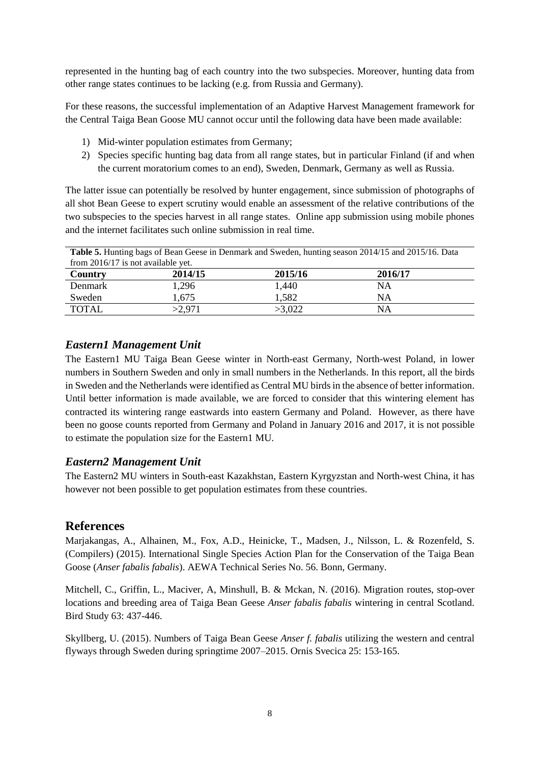represented in the hunting bag of each country into the two subspecies. Moreover, hunting data from other range states continues to be lacking (e.g. from Russia and Germany).

For these reasons, the successful implementation of an Adaptive Harvest Management framework for the Central Taiga Bean Goose MU cannot occur until the following data have been made available:

- 1) Mid-winter population estimates from Germany;
- 2) Species specific hunting bag data from all range states, but in particular Finland (if and when the current moratorium comes to an end), Sweden, Denmark, Germany as well as Russia.

The latter issue can potentially be resolved by hunter engagement, since submission of photographs of all shot Bean Geese to expert scrutiny would enable an assessment of the relative contributions of the two subspecies to the species harvest in all range states. Online app submission using mobile phones and the internet facilitates such online submission in real time.

| <b>Table 5.</b> Hunting bags of Bean Geese in Denmark and Sweden, hunting season 2014/15 and 2015/16. Data |         |         |         |  |  |  |
|------------------------------------------------------------------------------------------------------------|---------|---------|---------|--|--|--|
| from $2016/17$ is not available yet.                                                                       |         |         |         |  |  |  |
| Country                                                                                                    | 2014/15 | 2015/16 | 2016/17 |  |  |  |
| Denmark                                                                                                    | 1,296   | 1,440   | NA      |  |  |  |
| Sweden                                                                                                     | 1,675   | 1,582   | NA      |  |  |  |
| <b>TOTAL</b>                                                                                               | >2.971  | >3.022  | NA      |  |  |  |

## *Eastern1 Management Unit*

The Eastern1 MU Taiga Bean Geese winter in North-east Germany, North-west Poland, in lower numbers in Southern Sweden and only in small numbers in the Netherlands. In this report, all the birds in Sweden and the Netherlands were identified as Central MU birdsin the absence of better information. Until better information is made available, we are forced to consider that this wintering element has contracted its wintering range eastwards into eastern Germany and Poland. However, as there have been no goose counts reported from Germany and Poland in January 2016 and 2017, it is not possible to estimate the population size for the Eastern1 MU.

## *Eastern2 Management Unit*

The Eastern2 MU winters in South-east Kazakhstan, Eastern Kyrgyzstan and North-west China, it has however not been possible to get population estimates from these countries.

## **References**

Marjakangas, A., Alhainen, M., Fox, A.D., Heinicke, T., Madsen, J., Nilsson, L. & Rozenfeld, S. (Compilers) (2015). International Single Species Action Plan for the Conservation of the Taiga Bean Goose (*Anser fabalis fabalis*). AEWA Technical Series No. 56. Bonn, Germany.

Mitchell, C., Griffin, L., Maciver, A, Minshull, B. & Mckan, N. (2016). Migration routes, stop-over locations and breeding area of Taiga Bean Geese *Anser fabalis fabalis* wintering in central Scotland. Bird Study 63: 437-446.

Skyllberg, U. (2015). Numbers of Taiga Bean Geese *Anser f. fabalis* utilizing the western and central flyways through Sweden during springtime 2007–2015. Ornis Svecica 25: 153-165.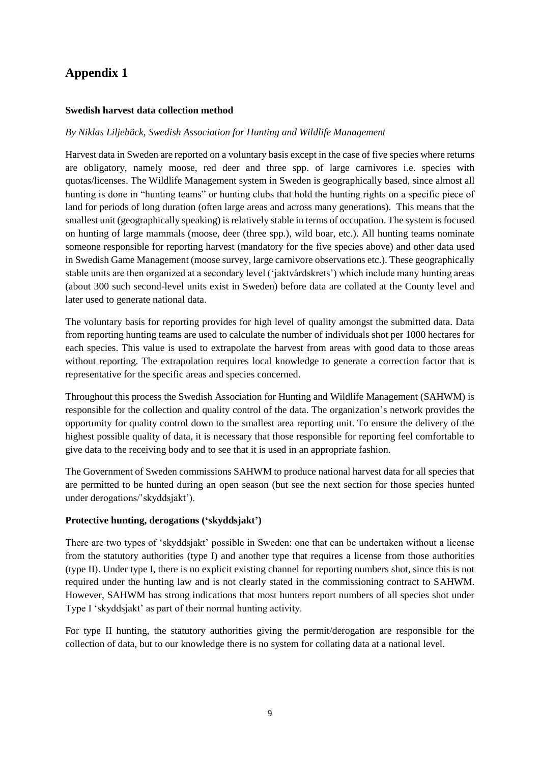# **Appendix 1**

#### **Swedish harvest data collection method**

#### *By Niklas Liljebäck, Swedish Association for Hunting and Wildlife Management*

Harvest data in Sweden are reported on a voluntary basis except in the case of five species where returns are obligatory, namely moose, red deer and three spp. of large carnivores i.e. species with quotas/licenses. The Wildlife Management system in Sweden is geographically based, since almost all hunting is done in "hunting teams" or hunting clubs that hold the hunting rights on a specific piece of land for periods of long duration (often large areas and across many generations). This means that the smallest unit (geographically speaking) is relatively stable in terms of occupation. The system is focused on hunting of large mammals (moose, deer (three spp.), wild boar, etc.). All hunting teams nominate someone responsible for reporting harvest (mandatory for the five species above) and other data used in Swedish Game Management (moose survey, large carnivore observations etc.). These geographically stable units are then organized at a secondary level ('jaktvårdskrets') which include many hunting areas (about 300 such second-level units exist in Sweden) before data are collated at the County level and later used to generate national data.

The voluntary basis for reporting provides for high level of quality amongst the submitted data. Data from reporting hunting teams are used to calculate the number of individuals shot per 1000 hectares for each species. This value is used to extrapolate the harvest from areas with good data to those areas without reporting. The extrapolation requires local knowledge to generate a correction factor that is representative for the specific areas and species concerned.

Throughout this process the Swedish Association for Hunting and Wildlife Management (SAHWM) is responsible for the collection and quality control of the data. The organization's network provides the opportunity for quality control down to the smallest area reporting unit. To ensure the delivery of the highest possible quality of data, it is necessary that those responsible for reporting feel comfortable to give data to the receiving body and to see that it is used in an appropriate fashion.

The Government of Sweden commissions SAHWM to produce national harvest data for all species that are permitted to be hunted during an open season (but see the next section for those species hunted under derogations/'skyddsjakt').

#### **Protective hunting, derogations ('skyddsjakt')**

There are two types of 'skyddsjakt' possible in Sweden: one that can be undertaken without a license from the statutory authorities (type I) and another type that requires a license from those authorities (type II). Under type I, there is no explicit existing channel for reporting numbers shot, since this is not required under the hunting law and is not clearly stated in the commissioning contract to SAHWM. However, SAHWM has strong indications that most hunters report numbers of all species shot under Type I 'skyddsjakt' as part of their normal hunting activity.

For type II hunting, the statutory authorities giving the permit/derogation are responsible for the collection of data, but to our knowledge there is no system for collating data at a national level.